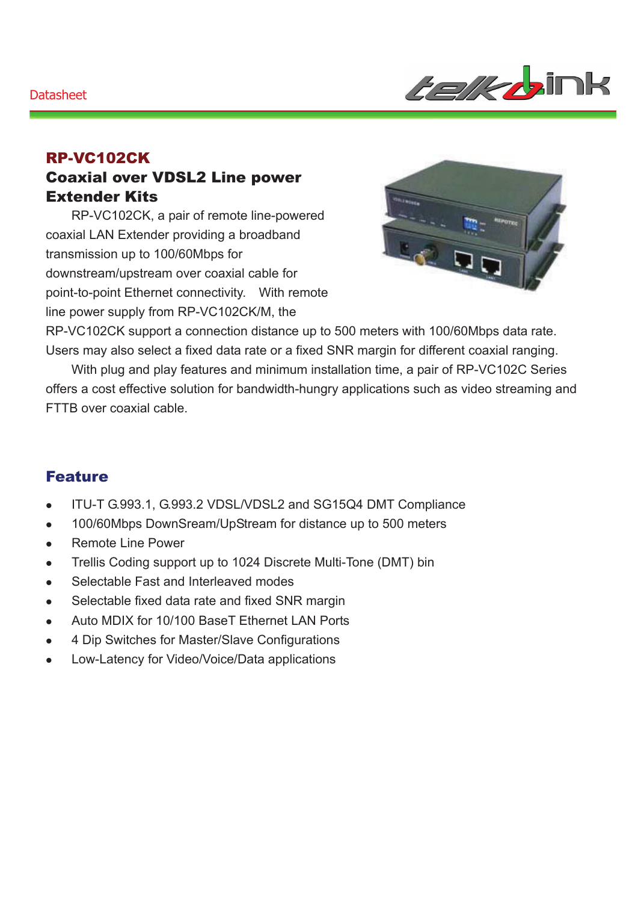*telk b*ink

### RP-VC102CK Coaxial over VDSL2 Line power Extender Kits

RP-VC102CK, a pair of remote line-powered coaxial LAN Extender providing a broadband transmission up to 100/60Mbps for downstream/upstream over coaxial cable for point-to-point Ethernet connectivity. With remote line power supply from RP-VC102CK/M, the



RP-VC102CK support a connection distance up to 500 meters with 100/60Mbps data rate. Users may also select a fixed data rate or a fixed SNR margin for different coaxial ranging.

With plug and play features and minimum installation time, a pair of RP-VC102C Series offers a cost effective solution for bandwidth-hungry applications such as video streaming and FTTB over coaxial cable.

#### Feature

- ITU-T G.993.1, G.993.2 VDSL/VDSL2 and SG15Q4 DMT Compliance
- 100/60Mbps DownSream/UpStream for distance up to 500 meters
- Remote Line Power
- Trellis Coding support up to 1024 Discrete Multi-Tone (DMT) bin
- Selectable Fast and Interleaved modes
- Selectable fixed data rate and fixed SNR margin
- Auto MDIX for 10/100 BaseT Ethernet LAN Ports
- 4 Dip Switches for Master/Slave Configurations
- Low-Latency for Video/Voice/Data applications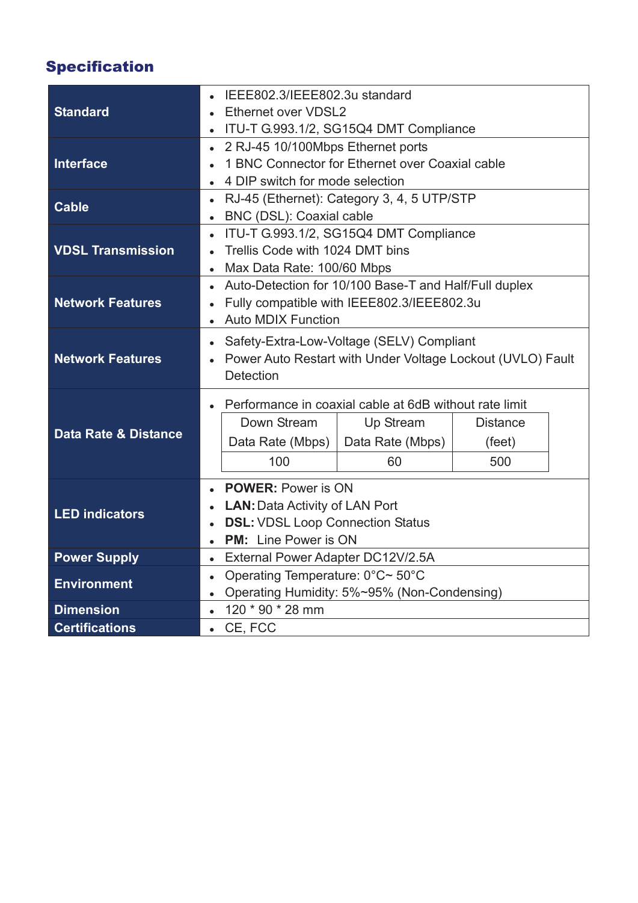# Specification

| <b>Standard</b>                 | IEEE802.3/IEEE802.3u standard                                      |                  |                 |  |  |  |
|---------------------------------|--------------------------------------------------------------------|------------------|-----------------|--|--|--|
|                                 | Ethernet over VDSL2                                                |                  |                 |  |  |  |
|                                 | ITU-T G.993.1/2, SG15Q4 DMT Compliance<br>$\bullet$                |                  |                 |  |  |  |
| <b>Interface</b>                | 2 RJ-45 10/100Mbps Ethernet ports<br>$\bullet$                     |                  |                 |  |  |  |
|                                 | 1 BNC Connector for Ethernet over Coaxial cable<br>$\bullet$       |                  |                 |  |  |  |
|                                 | 4 DIP switch for mode selection                                    |                  |                 |  |  |  |
| <b>Cable</b>                    | RJ-45 (Ethernet): Category 3, 4, 5 UTP/STP<br>$\bullet$            |                  |                 |  |  |  |
|                                 | BNC (DSL): Coaxial cable<br>$\bullet$                              |                  |                 |  |  |  |
| <b>VDSL Transmission</b>        | ITU-T G.993.1/2, SG15Q4 DMT Compliance<br>$\bullet$                |                  |                 |  |  |  |
|                                 | Trellis Code with 1024 DMT bins                                    |                  |                 |  |  |  |
|                                 | Max Data Rate: 100/60 Mbps<br>$\bullet$                            |                  |                 |  |  |  |
| <b>Network Features</b>         | Auto-Detection for 10/100 Base-T and Half/Full duplex<br>$\bullet$ |                  |                 |  |  |  |
|                                 | Fully compatible with IEEE802.3/IEEE802.3u<br>$\bullet$            |                  |                 |  |  |  |
|                                 | <b>Auto MDIX Function</b><br>$\bullet$                             |                  |                 |  |  |  |
| <b>Network Features</b>         | Safety-Extra-Low-Voltage (SELV) Compliant<br>$\bullet$             |                  |                 |  |  |  |
|                                 | Power Auto Restart with Under Voltage Lockout (UVLO) Fault         |                  |                 |  |  |  |
|                                 | <b>Detection</b>                                                   |                  |                 |  |  |  |
| <b>Data Rate &amp; Distance</b> | Performance in coaxial cable at 6dB without rate limit             |                  |                 |  |  |  |
|                                 | Down Stream                                                        | Up Stream        | <b>Distance</b> |  |  |  |
|                                 | Data Rate (Mbps)                                                   | Data Rate (Mbps) | (feet)          |  |  |  |
|                                 | 100                                                                | 60               | 500             |  |  |  |
|                                 | <b>POWER: Power is ON</b><br>$\bullet$                             |                  |                 |  |  |  |
| <b>LED indicators</b>           | <b>LAN: Data Activity of LAN Port</b>                              |                  |                 |  |  |  |
|                                 | <b>DSL: VDSL Loop Connection Status</b><br>$\bullet$               |                  |                 |  |  |  |
|                                 | <b>PM:</b> Line Power is ON<br>$\bullet$                           |                  |                 |  |  |  |
| <b>Power Supply</b>             | External Power Adapter DC12V/2.5A<br>$\bullet$                     |                  |                 |  |  |  |
|                                 | Operating Temperature: 0°C~ 50°C<br>$\bullet$                      |                  |                 |  |  |  |
| <b>Environment</b>              | Operating Humidity: 5%~95% (Non-Condensing)<br>$\bullet$           |                  |                 |  |  |  |
|                                 |                                                                    |                  | $\bullet$       |  |  |  |
| <b>Dimension</b>                | 120 * 90 * 28 mm                                                   |                  |                 |  |  |  |